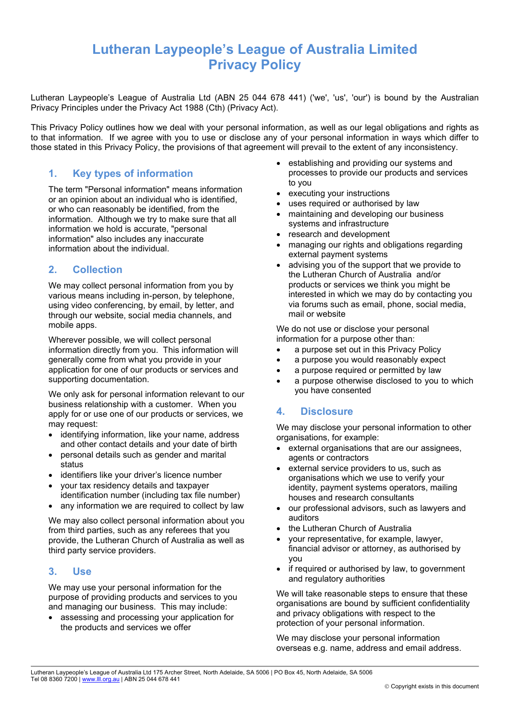# **Lutheran Laypeople's League of Australia Limited Privacy Policy**

Lutheran Laypeople's League of Australia Ltd (ABN 25 044 678 441) ('we', 'us', 'our') is bound by the Australian Privacy Principles under the Privacy Act 1988 (Cth) (Privacy Act).

This Privacy Policy outlines how we deal with your personal information, as well as our legal obligations and rights as to that information. If we agree with you to use or disclose any of your personal information in ways which differ to those stated in this Privacy Policy, the provisions of that agreement will prevail to the extent of any inconsistency.

# **1. Key types of information**

The term "Personal information" means information or an opinion about an individual who is identified, or who can reasonably be identified, from the information. Although we try to make sure that all information we hold is accurate, "personal information" also includes any inaccurate information about the individual.

# **2. Collection**

We may collect personal information from you by various means including in-person, by telephone, using video conferencing, by email, by letter, and through our website, social media channels, and mobile apps.

Wherever possible, we will collect personal information directly from you. This information will generally come from what you provide in your application for one of our products or services and supporting documentation.

We only ask for personal information relevant to our business relationship with a customer. When you apply for or use one of our products or services, we may request:

- identifying information, like your name, address and other contact details and your date of birth
- personal details such as gender and marital status
- identifiers like your driver's licence number
- your tax residency details and taxpayer identification number (including tax file number)
- any information we are required to collect by law

We may also collect personal information about you from third parties, such as any referees that you provide, the Lutheran Church of Australia as well as third party service providers.

#### **3. Use**

We may use your personal information for the purpose of providing products and services to you and managing our business. This may include:

• assessing and processing your application for the products and services we offer

- establishing and providing our systems and processes to provide our products and services to you
- executing your instructions
- uses required or authorised by law
- maintaining and developing our business systems and infrastructure
- research and development
- managing our rights and obligations regarding external payment systems
- advising you of the support that we provide to the Lutheran Church of Australia and/or products or services we think you might be interested in which we may do by contacting you via forums such as email, phone, social media, mail or website

We do not use or disclose your personal information for a purpose other than:

- a purpose set out in this Privacy Policy
- a purpose you would reasonably expect
- a purpose required or permitted by law
- a purpose otherwise disclosed to you to which you have consented

# **4. Disclosure**

We may disclose your personal information to other organisations, for example:

- external organisations that are our assignees, agents or contractors
- external service providers to us, such as organisations which we use to verify your identity, payment systems operators, mailing houses and research consultants
- our professional advisors, such as lawyers and auditors
- the Lutheran Church of Australia
- your representative, for example, lawyer, financial advisor or attorney, as authorised by you
- if required or authorised by law, to government and regulatory authorities

We will take reasonable steps to ensure that these organisations are bound by sufficient confidentiality and privacy obligations with respect to the protection of your personal information.

We may disclose your personal information overseas e.g. name, address and email address.

Lutheran Laypeople's League of Australia Ltd 175 Archer Street, North Adelaide, SA 5006 | PO Box 45, North Adelaide, SA 5006 Tel 08 8360 7200 [| www.lll.org.au](http://www.lll.org.au/) | ABN 25 044 678 441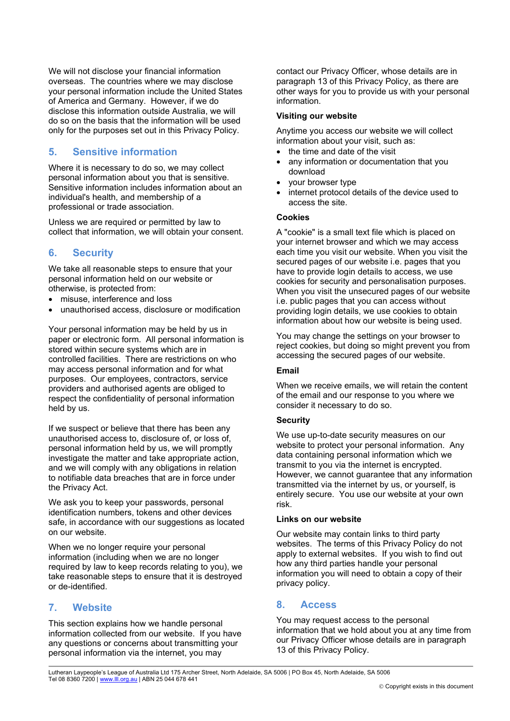We will not disclose your financial information overseas. The countries where we may disclose your personal information include the United States of America and Germany. However, if we do disclose this information outside Australia, we will do so on the basis that the information will be used only for the purposes set out in this Privacy Policy.

# **5. Sensitive information**

Where it is necessary to do so, we may collect personal information about you that is sensitive. Sensitive information includes information about an individual's health, and membership of a professional or trade association.

Unless we are required or permitted by law to collect that information, we will obtain your consent.

# **6. Security**

We take all reasonable steps to ensure that your personal information held on our website or otherwise, is protected from:

- misuse, interference and loss
- unauthorised access, disclosure or modification

Your personal information may be held by us in paper or electronic form. All personal information is stored within secure systems which are in controlled facilities. There are restrictions on who may access personal information and for what purposes. Our employees, contractors, service providers and authorised agents are obliged to respect the confidentiality of personal information held by us.

If we suspect or believe that there has been any unauthorised access to, disclosure of, or loss of, personal information held by us, we will promptly investigate the matter and take appropriate action, and we will comply with any obligations in relation to notifiable data breaches that are in force under the Privacy Act.

We ask you to keep your passwords, personal identification numbers, tokens and other devices safe, in accordance with our suggestions as located on our website.

When we no longer require your personal information (including when we are no longer required by law to keep records relating to you), we take reasonable steps to ensure that it is destroyed or de-identified.

# **7. Website**

This section explains how we handle personal information collected from our website. If you have any questions or concerns about transmitting your personal information via the internet, you may

contact our Privacy Officer, whose details are in paragraph [13](#page-2-0) of this Privacy Policy, as there are other ways for you to provide us with your personal information.

#### **Visiting our website**

Anytime you access our website we will collect information about your visit, such as:

- the time and date of the visit
- any information or documentation that you download
- your browser type
- internet protocol details of the device used to access the site.

#### **Cookies**

A "cookie" is a small text file which is placed on your internet browser and which we may access each time you visit our website. When you visit the secured pages of our website i.e. pages that you have to provide login details to access, we use cookies for security and personalisation purposes. When you visit the unsecured pages of our website i.e. public pages that you can access without providing login details, we use cookies to obtain information about how our website is being used.

You may change the settings on your browser to reject cookies, but doing so might prevent you from accessing the secured pages of our website.

#### **Email**

When we receive emails, we will retain the content of the email and our response to you where we consider it necessary to do so.

#### **Security**

We use up-to-date security measures on our website to protect your personal information. Any data containing personal information which we transmit to you via the internet is encrypted. However, we cannot guarantee that any information transmitted via the internet by us, or yourself, is entirely secure. You use our website at your own risk.

#### **Links on our website**

Our website may contain links to third party websites. The terms of this Privacy Policy do not apply to external websites. If you wish to find out how any third parties handle your personal information you will need to obtain a copy of their privacy policy.

# **8. Access**

You may request access to the personal information that we hold about you at any time from our Privacy Officer whose details are in paragraph [13](#page-2-0) of this Privacy Policy.

Lutheran Laypeople's League of Australia Ltd 175 Archer Street, North Adelaide, SA 5006 | PO Box 45, North Adelaide, SA 5006 Tel 08 8360 7200 | [www.lll.org.au](http://www.lll.org.au/) | ABN 25 044 678 441